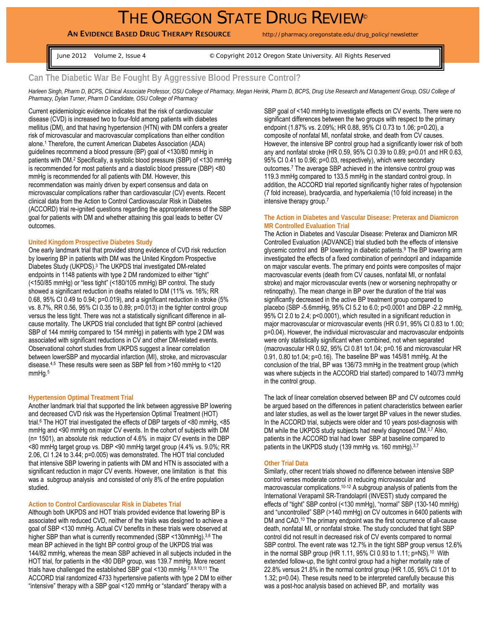# THE OREGON STATE DRUG REVIEW®

AN EVIDENCE BASED DRUG THERAPY RESOURCE http://pharmacy.oregonstate.edu/drug\_policy/newsletter

June 2012 Volume 2, Issue 4 © Copyright 2012 Oregon State University. All Rights Reserved

## **Can The Diabetic War Be Fought By Aggressive Blood Pressure Control?**

*Harleen Singh, Pharm D, BCPS, Clinical Associate Professor, OSU College of Pharmacy, Megan Herink, Pharm D, BCPS, Drug Use Research and Management Group, OSU College of Pharmacy, Dylan Turner, Pharm D Candidate, OSU College of Pharmacy* 

Current epidemiologic evidence indicates that the risk of cardiovascular disease (CVD) is increased two to four-fold among patients with diabetes mellitus (DM), and that having hypertension (HTN) with DM confers a greater risk of microvascular and macrovascular complications than either condition alone.1 Therefore, the current American Diabetes Association (ADA) guidelines recommend a blood pressure (BP) goal of <130/80 mmHg in patients with DM.2 Specifically, a systolic blood pressure (SBP) of <130 mmHg is recommended for most patients and a diastolic blood pressure (DBP) <80 mmHg is recommended for all patients with DM. However, this recommendation was mainly driven by expert consensus and data on microvascular complications rather than cardiovascular (CV) events. Recent clinical data from the Action to Control Cardiovascular Risk in Diabetes (ACCORD) trial re-ignited questions regarding the appropriateness of the SBP goal for patients with DM and whether attaining this goal leads to better CV outcomes.

#### **United Kingdom Prospective Diabetes Study**

One early landmark trial that provided strong evidence of CVD risk reduction by lowering BP in patients with DM was the United Kingdom Prospective Diabetes Study (UKPDS).3 The UKPDS trial investigated DM-related endpoints in 1148 patients with type 2 DM randomized to either "tight" (<150/85 mmHg) or "less tight" (<180/105 mmHg) BP control. The study showed a significant reduction in deaths related to DM (11% vs. 16%; RR 0.68, 95% CI 0.49 to 0.94; p=0.019), and a significant reduction in stroke (5% vs. 8.7%, RR 0.56, 95% CI 0.35 to 0.89; p=0.013) in the tighter control group versus the less tight. There was not a statistically significant difference in allcause mortality. The UKPDS trial concluded that tight BP control (achieved SBP of 144 mmHg compared to 154 mmHg) in patients with type 2 DM was associated with significant reductions in CV and other DM-related events. Observational cohort studies from UKPDS suggest a linear correlation between lowerSBP and myocardial infarction (MI), stroke, and microvascular disease.4,5 These results were seen as SBP fell from >160 mmHg to <120 mmHg.5

#### **Hypertension Optimal Treatment Trial**

Another landmark trial that supported the link between aggressive BP lowering and decreased CVD risk was the Hypertension Optimal Treatment (HOT) trial.6 The HOT trial investigated the effects of DBP targets of <80 mmHg, <85 mmHg and <90 mmHg on major CV events. In the cohort of subjects with DM (n= 1501), an absolute risk reduction of 4.6% in major CV events in the DBP <80 mmHg target group vs. DBP <90 mmHg target group (4.4% vs. 9.0%; RR 2.06, CI 1.24 to 3.44; p=0.005) was demonstrated. The HOT trial concluded that intensive SBP lowering in patients with DM and HTN is associated with a significant reduction in major CV events. However, one limitation is that this was a subgroup analysis and consisted of only 8% of the entire population studied.

#### **Action to Control Cardiovascular Risk in Diabetes Trial**

Although both UKPDS and HOT trials provided evidence that lowering BP is associated with reduced CVD, neither of the trials was designed to achieve a goal of SBP <130 mmHg. Actual CV benefits in these trials were observed at higher SBP than what is currently recommended (SBP <130mmHg).<sup>3,6</sup> The mean BP achieved in the tight BP control group of the UKPDS trial was 144/82 mmHg, whereas the mean SBP achieved in all subjects included in the HOT trial, for patients in the <80 DBP group, was 139.7 mmHg. More recent trials have challenged the established SBP goal <130 mmHg.<sup>7,8,9,10,11</sup> The ACCORD trial randomized 4733 hypertensive patients with type 2 DM to either "intensive" therapy with a SBP goal <120 mmHg or "standard" therapy with a

SBP goal of <140 mmHg to investigate effects on CV events. There were no significant differences between the two groups with respect to the primary endpoint (1.87% vs. 2.09%; HR 0.88, 95% CI 0.73 to 1.06; p=0.20), a composite of nonfatal MI, nonfatal stroke, and death from CV causes. However, the intensive BP control group had a significantly lower risk of both any and nonfatal stroke (HR 0.59, 95% CI 0.39 to 0.89; p=0.01 and HR 0.63, 95% CI 0.41 to 0.96; p=0.03, respectively), which were secondary outcomes.7 The average SBP achieved in the intensive control group was 119.3 mmHg compared to 133.5 mmHg in the standard control group. In addition, the ACCORD trial reported significantly higher rates of hypotension (7 fold increase), bradycardia, and hyperkalemia (10 fold increase) in the intensive therapy group.7

#### **The Action in Diabetes and Vascular Disease: Preterax and Diamicron MR Controlled Evaluation Trial**

The Action in Diabetes and Vascular Disease: Preterax and Diamicron MR Controlled Evaluation (ADVANCE) trial studied both the effects of intensive glycemic control and BP lowering in diabetic patients.9 The BP lowering arm investigated the effects of a fixed combination of perindopril and indapamide on major vascular events. The primary end points were composites of major macrovascular events (death from CV causes, nonfatal MI, or nonfatal stroke) and major microvascular events (new or worsening nephropathy or retinopathy). The mean change in BP over the duration of the trial was significantly decreased in the active BP treatment group compared to placebo (SBP -5.6mmHg, 95% CI 5.2 to 6.0; p<0.0001 and DBP -2.2 mmHg, 95% CI 2.0 to 2.4; p<0.0001), which resulted in a significant reduction in major macrovascular or microvascular events (HR 0.91, 95% CI 0.83 to 1.00; p=0.04). However, the individual microvascular and macrovascular endpoints were only statistically significant when combined, not when separated (macrovascular HR 0.92, 95% CI 0.81 to1.04; p=0.16 and microvascular HR 0.91, 0.80 to1.04; p=0.16). The baseline BP was 145/81 mmHg. At the conclusion of the trial, BP was 136/73 mmHg in the treatment group (which was where subjects in the ACCORD trial started) compared to 140/73 mmHg in the control group.

The lack of linear correlation observed between BP and CV outcomes could be argued based on the differences in patient characteristics between earlier and later studies, as well as the lower target BP values in the newer studies. In the ACCORD trial, subjects were older and 10 years post-diagnosis with DM while the UKPDS study subjects had newly diagnosed DM.<sup>3,7</sup> Also, patients in the ACCORD trial had lower SBP at baseline compared to patients in the UKPDS study (139 mmHg vs. 160 mmHg).<sup>3,7</sup>

#### **Other Trial Data**

Similarly, other recent trials showed no difference between intensive SBP control verses moderate control in reducing microvascular and macrovascular complications.10-12 A subgroup analysis of patients from the International Verapamil SR-Trandolapril (INVEST) study compared the effects of "tight" SBP control (<130 mmHg), "normal" SBP (130-140 mmHg) and "uncontrolled" SBP (>140 mmHg) on CV outcomes in 6400 patients with DM and CAD.<sup>10</sup> The primary endpoint was the first occurrence of all-cause death, nonfatal MI, or nonfatal stroke. The study concluded that tight SBP control did not result in decreased risk of CV events compared to normal SBP control. The event rate was 12.7% in the tight SBP group versus 12.6% in the normal SBP group (HR 1.11, 95% CI 0.93 to 1.11; p=NS).10 With extended follow-up, the tight control group had a higher mortality rate of 22.8% versus 21.8% in the normal control group (HR 1.05, 95% CI 1.01 to 1.32; p=0.04). These results need to be interpreted carefully because this was a post-hoc analysis based on achieved BP, and mortality was